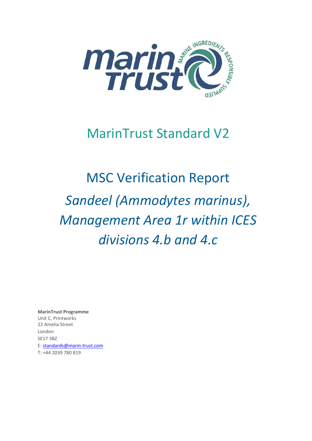

## MarinTrust Standard V2

# MSC Verification Report *Sandeel (Ammodytes marinus), Management Area 1r within ICES divisions 4.b and 4.c*

**MarinTrust Programme** Unit C, Printworks 22 Amelia Street London SE17 3BZ E: standards@marin-trust.com T: +44 2039 780 819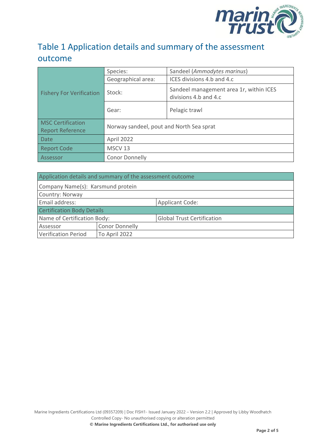

#### Table 1 Application details and summary of the assessment outcome

|                                                     | Species:                                 | Sandeel (Ammodytes marinus)                                      |  |
|-----------------------------------------------------|------------------------------------------|------------------------------------------------------------------|--|
| <b>Fishery For Verification</b>                     | Geographical area:                       | ICES divisions 4.b and 4.c                                       |  |
|                                                     | Stock:                                   | Sandeel management area 1r, within ICES<br>divisions 4.b and 4.c |  |
|                                                     | Gear:                                    | Pelagic trawl                                                    |  |
| <b>MSC Certification</b><br><b>Report Reference</b> | Norway sandeel, pout and North Sea sprat |                                                                  |  |
| <b>Date</b>                                         | April 2022                               |                                                                  |  |
| <b>Report Code</b>                                  | MSCV <sub>13</sub>                       |                                                                  |  |
| Assessor                                            | <b>Conor Donnelly</b>                    |                                                                  |  |

| Application details and summary of the assessment outcome |                       |                                   |  |
|-----------------------------------------------------------|-----------------------|-----------------------------------|--|
| Company Name(s): Karsmund protein                         |                       |                                   |  |
| Country: Norway                                           |                       |                                   |  |
| Email address:                                            |                       | <b>Applicant Code:</b>            |  |
| <b>Certification Body Details</b>                         |                       |                                   |  |
| Name of Certification Body:                               |                       | <b>Global Trust Certification</b> |  |
| Assessor                                                  | <b>Conor Donnelly</b> |                                   |  |
| <b>Verification Period</b>                                | To April 2022         |                                   |  |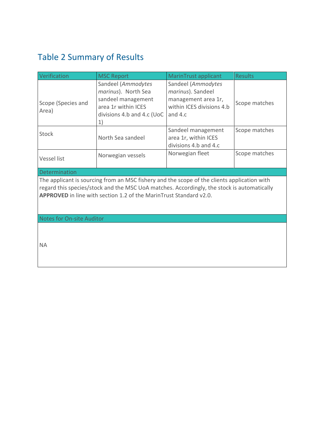### <span id="page-2-0"></span>Table 2 Summary of Results

| Verification                                                                                                                                                                                                                                                    | <b>MSC Report</b>                                                                                                                                                      | MarinTrust applicant                                                                                   | <b>Results</b> |  |
|-----------------------------------------------------------------------------------------------------------------------------------------------------------------------------------------------------------------------------------------------------------------|------------------------------------------------------------------------------------------------------------------------------------------------------------------------|--------------------------------------------------------------------------------------------------------|----------------|--|
| Scope (Species and<br>Area)                                                                                                                                                                                                                                     | Sandeel (Ammodytes<br>marinus). North Sea<br>sandeel management<br>area 1r within ICES<br>divisions 4.b and 4.c (UoC<br>$\left( \begin{matrix} 1 \end{matrix} \right)$ | Sandeel (Ammodytes<br>marinus). Sandeel<br>management area 1r,<br>within ICES divisions 4.b<br>and 4.c | Scope matches  |  |
| Stock                                                                                                                                                                                                                                                           | North Sea sandeel                                                                                                                                                      | Sandeel management<br>area 1r, within ICES<br>divisions 4.b and 4.c                                    | Scope matches  |  |
| Vessel list                                                                                                                                                                                                                                                     | Norwegian vessels                                                                                                                                                      | Norwegian fleet                                                                                        | Scope matches  |  |
| Determination                                                                                                                                                                                                                                                   |                                                                                                                                                                        |                                                                                                        |                |  |
| The applicant is sourcing from an MSC fishery and the scope of the clients application with<br>regard this species/stock and the MSC UoA matches. Accordingly, the stock is automatically<br>APPROVED in line with section 1.2 of the MarinTrust Standard v2.0. |                                                                                                                                                                        |                                                                                                        |                |  |

Notes for On-site Auditor

NA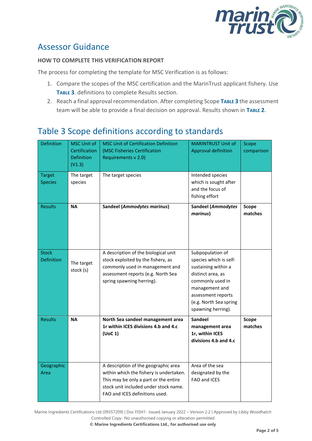

#### Assessor Guidance

#### **HOW TO COMPLETE THIS VERIFICATION REPORT**

The process for completing the template for MSC Verification is as follows:

- 1. Compare the scopes of the MSC certification and the MarinTrust applicant fishery. Use **T[ABLE](#page-3-0) 3**. definitions to complete Results section.
- 2. Reach a final approval recommendation. After completing Scope **T[ABLE](#page-3-0) 3** the assessment team will be able to provide a final decision on approval. Results shown in **T[ABLE](#page-2-0) 2**.

#### <span id="page-3-0"></span>Table 3 Scope definitions according to standards

| <b>Definition</b>                 | <b>MSC Unit of</b><br>Certification<br><b>Definition</b><br>(V1.3) | <b>MSC Unit of Certification Definition</b><br>(MSC Fisheries Certification<br>Requirements v 2.0)                                                                                                  | <b>MARINTRUST Unit of</b><br><b>Approval definition</b>                                                                                                                                            | Scope<br>comparison     |
|-----------------------------------|--------------------------------------------------------------------|-----------------------------------------------------------------------------------------------------------------------------------------------------------------------------------------------------|----------------------------------------------------------------------------------------------------------------------------------------------------------------------------------------------------|-------------------------|
| <b>Target</b><br><b>Species</b>   | The target<br>species                                              | The target species                                                                                                                                                                                  | Intended species<br>which is sought after<br>and the focus of<br>fishing effort                                                                                                                    |                         |
| <b>Results</b>                    | <b>NA</b>                                                          | <b>Sandeel (Ammodytes marinus)</b>                                                                                                                                                                  | <b>Sandeel (Ammodytes</b><br>marinus)                                                                                                                                                              | <b>Scope</b><br>matches |
| <b>Stock</b><br><b>Definition</b> | The target<br>stock (s)                                            | A description of the biological unit<br>stock exploited by the fishery, as<br>commonly used in management and<br>assessment reports (e.g. North Sea<br>spring spawning herring).                    | Subpopulation of<br>species which is self-<br>sustaining within a<br>distinct area, as<br>commonly used in<br>management and<br>assessment reports<br>(e.g. North Sea spring<br>spawning herring). |                         |
| <b>Results</b>                    | <b>NA</b>                                                          | North Sea sandeel management area<br>1r within ICES divisions 4.b and 4.c<br>(UoC 1)                                                                                                                | <b>Sandeel</b><br>management area<br>1r, within ICES<br>divisions 4.b and 4.c                                                                                                                      | Scope<br>matches        |
| Geographic<br>Area                |                                                                    | A description of the geographic area<br>within which the fishery is undertaken.<br>This may be only a part or the entire<br>stock unit included under stock name.<br>FAO and ICES definitions used. | Area of the sea<br>designated by the<br>FAO and ICES                                                                                                                                               |                         |

Marine Ingredients Certifications Ltd (09357209) | Doc FISH1- Issued January 2022 – Version 2.2 | Approved by Libby Woodhatch Controlled Copy- No unauthorised copying or alteration permitted